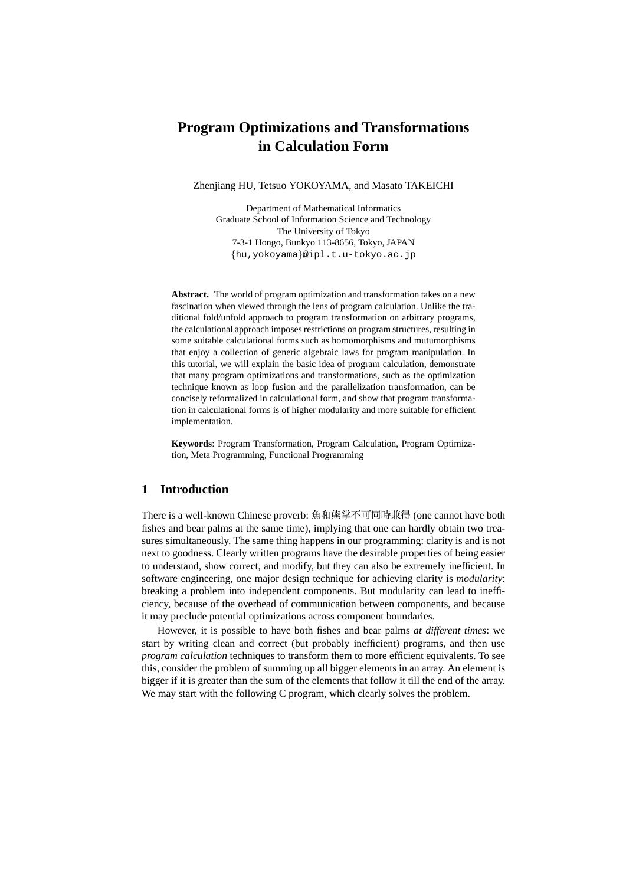# **Program Optimizations and Transformations in Calculation Form**

Zhenjiang HU, Tetsuo YOKOYAMA, and Masato TAKEICHI

Department of Mathematical Informatics Graduate School of Information Science and Technology The University of Tokyo 7-3-1 Hongo, Bunkyo 113-8656, Tokyo, JAPAN {hu,yokoyama}@ipl.t.u-tokyo.ac.jp

**Abstract.** The world of program optimization and transformation takes on a new fascination when viewed through the lens of program calculation. Unlike the traditional fold/unfold approach to program transformation on arbitrary programs, the calculational approach imposes restrictions on program structures, resulting in some suitable calculational forms such as homomorphisms and mutumorphisms that enjoy a collection of generic algebraic laws for program manipulation. In this tutorial, we will explain the basic idea of program calculation, demonstrate that many program optimizations and transformations, such as the optimization technique known as loop fusion and the parallelization transformation, can be concisely reformalized in calculational form, and show that program transformation in calculational forms is of higher modularity and more suitable for efficient implementation.

**Keywords**: Program Transformation, Program Calculation, Program Optimization, Meta Programming, Functional Programming

# **1 Introduction**

There is a well-known Chinese proverb: 魚和熊掌不可同時兼得 (one cannot have both fishes and bear palms at the same time), implying that one can hardly obtain two treasures simultaneously. The same thing happens in our programming: clarity is and is not next to goodness. Clearly written programs have the desirable properties of being easier to understand, show correct, and modify, but they can also be extremely inefficient. In software engineering, one major design technique for achieving clarity is *modularity*: breaking a problem into independent components. But modularity can lead to inefficiency, because of the overhead of communication between components, and because it may preclude potential optimizations across component boundaries.

However, it is possible to have both fishes and bear palms *at different times*: we start by writing clean and correct (but probably inefficient) programs, and then use *program calculation* techniques to transform them to more efficient equivalents. To see this, consider the problem of summing up all bigger elements in an array. An element is bigger if it is greater than the sum of the elements that follow it till the end of the array. We may start with the following C program, which clearly solves the problem.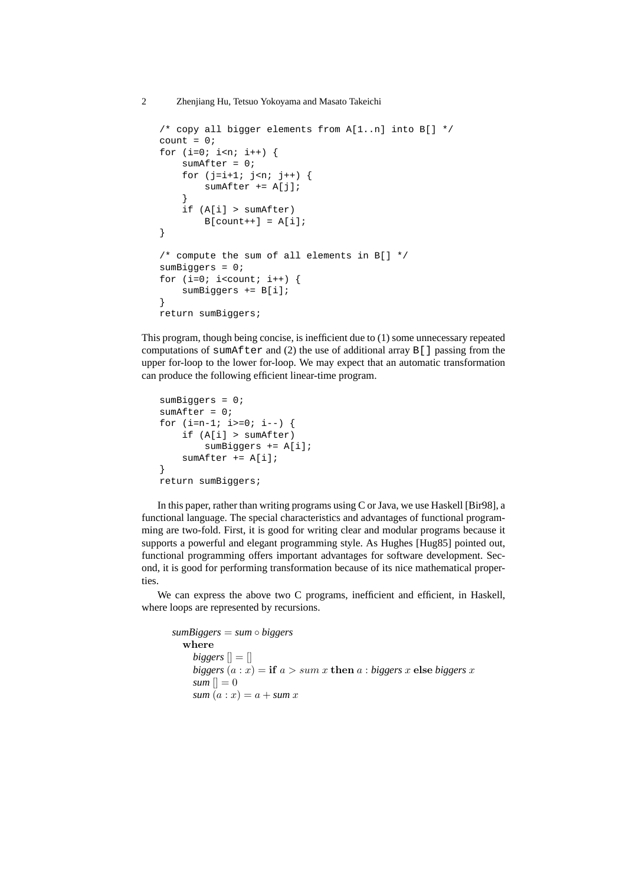```
/* copy all bigger elements from A[1..n] into B[] */
count = 0;for (i=0; i<n; i++) {
    sumAfter = 0;
    for (j=i+1; j<n; j++) {
        sumAfter += A[j];}
    if (A[i] > sumAfter)
        B[count++] = A[i];}
/* compute the sum of all elements in B[] */
sumBiggers = 0;
for (i=0; i<count; i++) {
    sumBiggers += B[i];
}
return sumBiggers;
```
This program, though being concise, is inefficient due to (1) some unnecessary repeated computations of sumAfter and (2) the use of additional array B[] passing from the upper for-loop to the lower for-loop. We may expect that an automatic transformation can produce the following efficient linear-time program.

```
sumBiggers = 0;
sumAfter = 0;
for (i=n-1; i>=0; i--) {
    if (A[i] > sumAfter)
       sumBiggers += A[i];
    sumAfter += A[i];}
return sumBiggers;
```
In this paper, rather than writing programs using C or Java, we use Haskell [Bir98], a functional language. The special characteristics and advantages of functional programming are two-fold. First, it is good for writing clear and modular programs because it supports a powerful and elegant programming style. As Hughes [Hug85] pointed out, functional programming offers important advantages for software development. Second, it is good for performing transformation because of its nice mathematical properties.

We can express the above two C programs, inefficient and efficient, in Haskell, where loops are represented by recursions.

```
sumBiggers = sum ◦ biggers
  where
    biggers \Vert = \Vertbiggers (a : x) = if a > sum x then a : biggers x else biggers x
    sum \vert\vert = 0sum(a : x) = a + sum x
```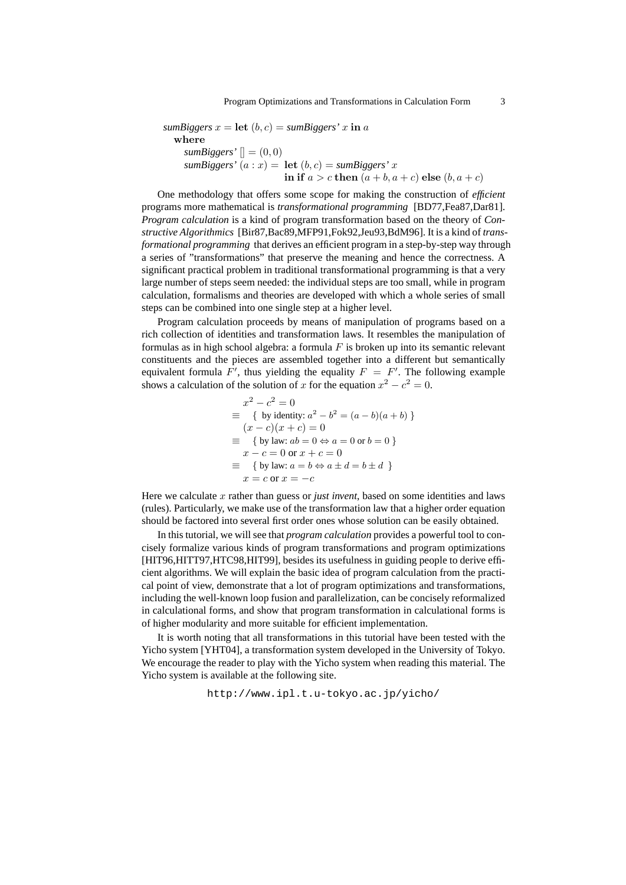*sumBiggers*  $x = \text{let}(b, c) = \text{sumB} \text{iggers'} x \text{ in } a$ where  $sumBiggers'$   $\vert\vert = (0,0)$  $sumBiggers' (a : x) = \text{let } (b, c) = \text{sumBiggers'} x$ in if  $a > c$  then  $(a + b, a + c)$  else  $(b, a + c)$ 

One methodology that offers some scope for making the construction of *efficient* programs more mathematical is *transformational programming* [BD77,Fea87,Dar81]. *Program calculation* is a kind of program transformation based on the theory of *Constructive Algorithmics* [Bir87,Bac89,MFP91,Fok92,Jeu93,BdM96]. It is a kind of *transformational programming* that derives an efficient program in a step-by-step way through a series of "transformations" that preserve the meaning and hence the correctness. A significant practical problem in traditional transformational programming is that a very large number of steps seem needed: the individual steps are too small, while in program calculation, formalisms and theories are developed with which a whole series of small steps can be combined into one single step at a higher level.

Program calculation proceeds by means of manipulation of programs based on a rich collection of identities and transformation laws. It resembles the manipulation of formulas as in high school algebra: a formula  $F$  is broken up into its semantic relevant constituents and the pieces are assembled together into a different but semantically equivalent formula  $F'$ , thus yielding the equality  $F = F'$ . The following example shows a calculation of the solution of x for the equation  $x^2 - c^2 = 0$ .

$$
x^{2} - c^{2} = 0
$$
  
\n
$$
\equiv \{ \text{ by identity: } a^{2} - b^{2} = (a - b)(a + b) \}
$$
  
\n
$$
(x - c)(x + c) = 0
$$
  
\n
$$
\equiv \{ \text{ by law: } ab = 0 \Leftrightarrow a = 0 \text{ or } b = 0 \}
$$
  
\n
$$
x - c = 0 \text{ or } x + c = 0
$$
  
\n
$$
\equiv \{ \text{ by law: } a = b \Leftrightarrow a \pm d = b \pm d \}
$$
  
\n
$$
x = c \text{ or } x = -c
$$

Here we calculate x rather than guess or *just invent*, based on some identities and laws (rules). Particularly, we make use of the transformation law that a higher order equation should be factored into several first order ones whose solution can be easily obtained.

In this tutorial, we will see that *program calculation* provides a powerful tool to concisely formalize various kinds of program transformations and program optimizations [HIT96,HITT97,HTC98,HIT99], besides its usefulness in guiding people to derive efficient algorithms. We will explain the basic idea of program calculation from the practical point of view, demonstrate that a lot of program optimizations and transformations, including the well-known loop fusion and parallelization, can be concisely reformalized in calculational forms, and show that program transformation in calculational forms is of higher modularity and more suitable for efficient implementation.

It is worth noting that all transformations in this tutorial have been tested with the Yicho system [YHT04], a transformation system developed in the University of Tokyo. We encourage the reader to play with the Yicho system when reading this material. The Yicho system is available at the following site.

http://www.ipl.t.u-tokyo.ac.jp/yicho/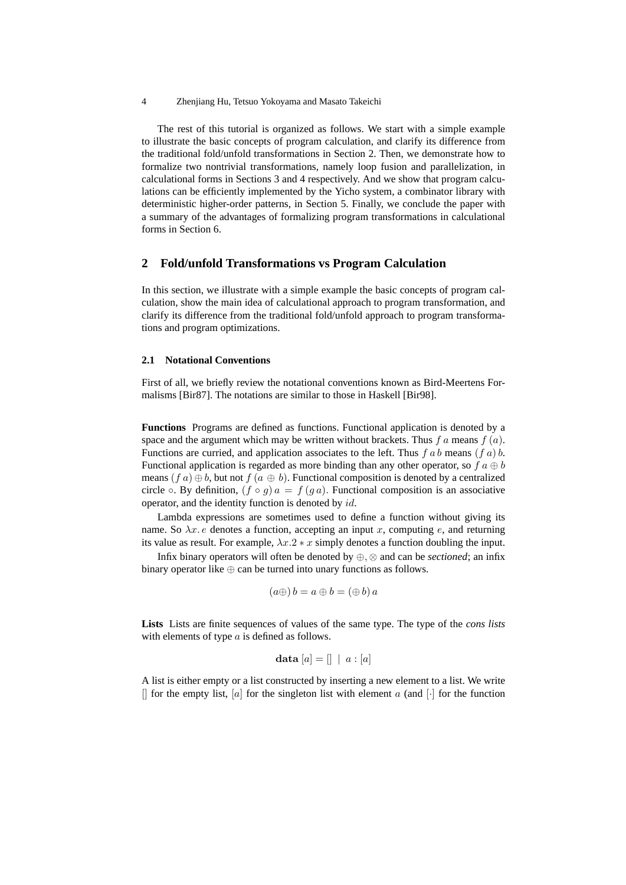The rest of this tutorial is organized as follows. We start with a simple example to illustrate the basic concepts of program calculation, and clarify its difference from the traditional fold/unfold transformations in Section 2. Then, we demonstrate how to formalize two nontrivial transformations, namely loop fusion and parallelization, in calculational forms in Sections 3 and 4 respectively. And we show that program calculations can be efficiently implemented by the Yicho system, a combinator library with deterministic higher-order patterns, in Section 5. Finally, we conclude the paper with a summary of the advantages of formalizing program transformations in calculational forms in Section 6.

# **2 Fold/unfold Transformations vs Program Calculation**

In this section, we illustrate with a simple example the basic concepts of program calculation, show the main idea of calculational approach to program transformation, and clarify its difference from the traditional fold/unfold approach to program transformations and program optimizations.

#### **2.1 Notational Conventions**

First of all, we briefly review the notational conventions known as Bird-Meertens Formalisms [Bir87]. The notations are similar to those in Haskell [Bir98].

**Functions** Programs are defined as functions. Functional application is denoted by a space and the argument which may be written without brackets. Thus  $f_a$  means  $f(a)$ . Functions are curried, and application associates to the left. Thus  $f a b$  means  $(f a) b$ . Functional application is regarded as more binding than any other operator, so  $f \circ a \oplus b$ means (f a)  $\oplus b$ , but not f (a  $\oplus b$ ). Functional composition is denoted by a centralized circle  $\circ$ . By definition,  $(f \circ g) a = f(g a)$ . Functional composition is an associative operator, and the identity function is denoted by id.

Lambda expressions are sometimes used to define a function without giving its name. So  $\lambda x$ . e denotes a function, accepting an input x, computing e, and returning its value as result. For example,  $\lambda x.2 * x$  simply denotes a function doubling the input.

Infix binary operators will often be denoted by ⊕, ⊗ and can be *sectioned*; an infix binary operator like ⊕ can be turned into unary functions as follows.

$$
(a \oplus) b = a \oplus b = (\oplus b) a
$$

**Lists** Lists are finite sequences of values of the same type. The type of the *cons lists* with elements of type  $a$  is defined as follows.

$$
\mathbf{data}[a] = [] \mid a : [a]
$$

A list is either empty or a list constructed by inserting a new element to a list. We write  $\Box$  for the empty list,  $[a]$  for the singleton list with element a (and  $\Box$ ) for the function

<sup>4</sup> Zhenjiang Hu, Tetsuo Yokoyama and Masato Takeichi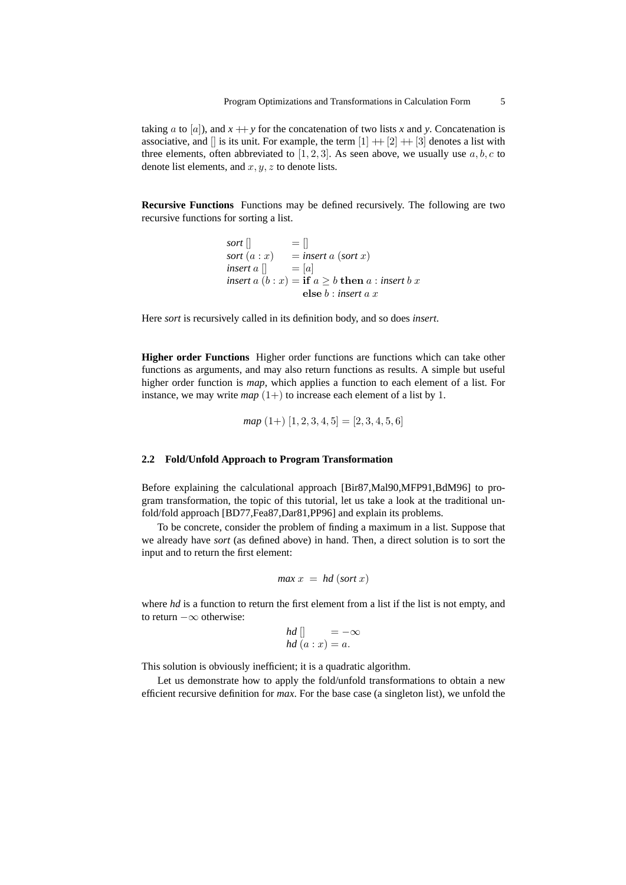taking a to [a]), and  $x + y$  for the concatenation of two lists x and y. Concatenation is associative, and  $\parallel$  is its unit. For example, the term  $[1] + [2] + [3]$  denotes a list with three elements, often abbreviated to  $[1, 2, 3]$ . As seen above, we usually use  $a, b, c$  to denote list elements, and  $x, y, z$  to denote lists.

**Recursive Functions** Functions may be defined recursively. The following are two recursive functions for sorting a list.

$$
sort [] = []
$$
  
\n
$$
sort (a : x) = insert a (sort x)
$$
  
\n
$$
insert a [] = [a]
$$
  
\n
$$
insert a (b : x) = \textbf{if } a \geq b \textbf{ then } a : insert b x
$$
  
\n
$$
else b : insert a x
$$

Here *sort* is recursively called in its definition body, and so does *insert*.

**Higher order Functions** Higher order functions are functions which can take other functions as arguments, and may also return functions as results. A simple but useful higher order function is *map*, which applies a function to each element of a list. For instance, we may write  $map(1+)$  to increase each element of a list by 1.

map 
$$
(1+)
$$
  $[1, 2, 3, 4, 5] = [2, 3, 4, 5, 6]$ 

#### **2.2 Fold/Unfold Approach to Program Transformation**

Before explaining the calculational approach [Bir87,Mal90,MFP91,BdM96] to program transformation, the topic of this tutorial, let us take a look at the traditional unfold/fold approach [BD77,Fea87,Dar81,PP96] and explain its problems.

To be concrete, consider the problem of finding a maximum in a list. Suppose that we already have *sort* (as defined above) in hand. Then, a direct solution is to sort the input and to return the first element:

$$
max x = hd (sort x)
$$

where *hd* is a function to return the first element from a list if the list is not empty, and to return −∞ otherwise:

$$
hd [] = -\infty
$$
  

$$
hd (a : x) = a.
$$

This solution is obviously inefficient; it is a quadratic algorithm.

Let us demonstrate how to apply the fold/unfold transformations to obtain a new efficient recursive definition for *max*. For the base case (a singleton list), we unfold the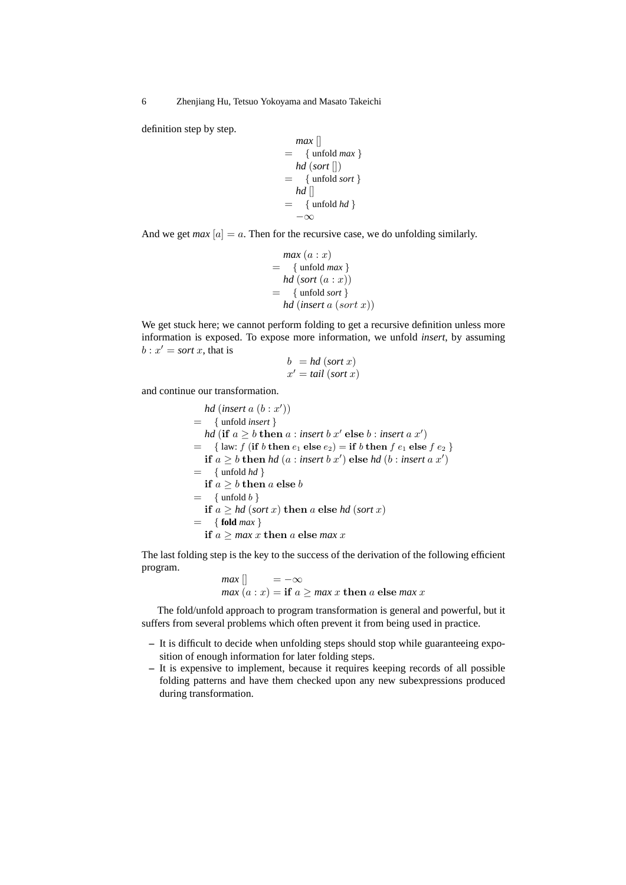definition step by step.

*max* []  $=$  { unfold *max* } *hd* (*sort*  $\vert \vert$ )  $=$  { unfold *sort* }  $hd \parallel$  $=$  { unfold *hd* }  $-\infty$ 

And we get  $max [a] = a$ . Then for the recursive case, we do unfolding similarly.

*max*  $(a : x)$  $=$  { unfold *max* } *hd* (*sort*  $(a : x)$ )  $=$  { unfold *sort* } *hd* (*insert* a (sort x))

We get stuck here; we cannot perform folding to get a recursive definition unless more information is exposed. To expose more information, we unfold *insert*, by assuming  $b: x' = sort x$ , that is

$$
b = hd (sort x)
$$
  

$$
x' = tail (sort x)
$$

and continue our transformation.

*hd* (*insert a* (*b* : *x'*)) = { unfold *insert* } *hd* (if  $a \geq b$  then  $a :$  *insert*  $b x'$  else  $b :$  *insert*  $a x'$ )  $= \{ law: f (if b then e_1 else e_2) = if b then f e_1 else f e_2 \}$ if  $a \geq b$  then *hd*  $(a : insert b x')$  else *hd*  $(b : insert a x')$  $=$  { unfold *hd* } if  $a \geq b$  then a else b  $= \{$  unfold  $b \}$ if  $a \geq hd$  (*sort* x) then a else *hd* (*sort* x)  $=$  { **fold** *max* } if  $a \geq max x$  then a else *max* x

The last folding step is the key to the success of the derivation of the following efficient program.

> *max*  $\vert$  =  $-\infty$ *max*  $(a : x) =$  if  $a \ge max x$  then a else *max* x

The fold/unfold approach to program transformation is general and powerful, but it suffers from several problems which often prevent it from being used in practice.

- **–** It is difficult to decide when unfolding steps should stop while guaranteeing exposition of enough information for later folding steps.
- **–** It is expensive to implement, because it requires keeping records of all possible folding patterns and have them checked upon any new subexpressions produced during transformation.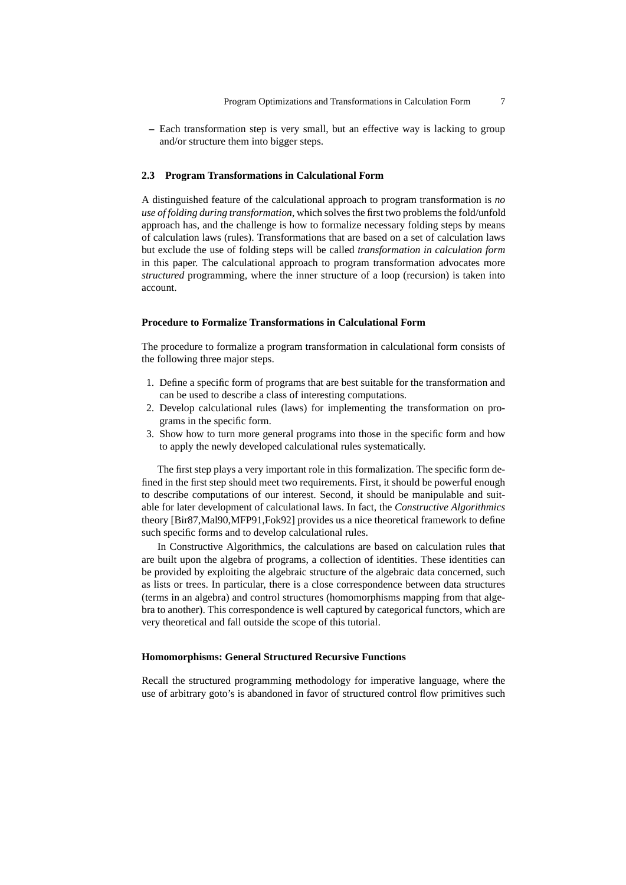**–** Each transformation step is very small, but an effective way is lacking to group and/or structure them into bigger steps.

#### **2.3 Program Transformations in Calculational Form**

A distinguished feature of the calculational approach to program transformation is *no use of folding during transformation*, which solves the first two problems the fold/unfold approach has, and the challenge is how to formalize necessary folding steps by means of calculation laws (rules). Transformations that are based on a set of calculation laws but exclude the use of folding steps will be called *transformation in calculation form* in this paper. The calculational approach to program transformation advocates more *structured* programming, where the inner structure of a loop (recursion) is taken into account.

#### **Procedure to Formalize Transformations in Calculational Form**

The procedure to formalize a program transformation in calculational form consists of the following three major steps.

- 1. Define a specific form of programs that are best suitable for the transformation and can be used to describe a class of interesting computations.
- 2. Develop calculational rules (laws) for implementing the transformation on programs in the specific form.
- 3. Show how to turn more general programs into those in the specific form and how to apply the newly developed calculational rules systematically.

The first step plays a very important role in this formalization. The specific form defined in the first step should meet two requirements. First, it should be powerful enough to describe computations of our interest. Second, it should be manipulable and suitable for later development of calculational laws. In fact, the *Constructive Algorithmics* theory [Bir87,Mal90,MFP91,Fok92] provides us a nice theoretical framework to define such specific forms and to develop calculational rules.

In Constructive Algorithmics, the calculations are based on calculation rules that are built upon the algebra of programs, a collection of identities. These identities can be provided by exploiting the algebraic structure of the algebraic data concerned, such as lists or trees. In particular, there is a close correspondence between data structures (terms in an algebra) and control structures (homomorphisms mapping from that algebra to another). This correspondence is well captured by categorical functors, which are very theoretical and fall outside the scope of this tutorial.

#### **Homomorphisms: General Structured Recursive Functions**

Recall the structured programming methodology for imperative language, where the use of arbitrary goto's is abandoned in favor of structured control flow primitives such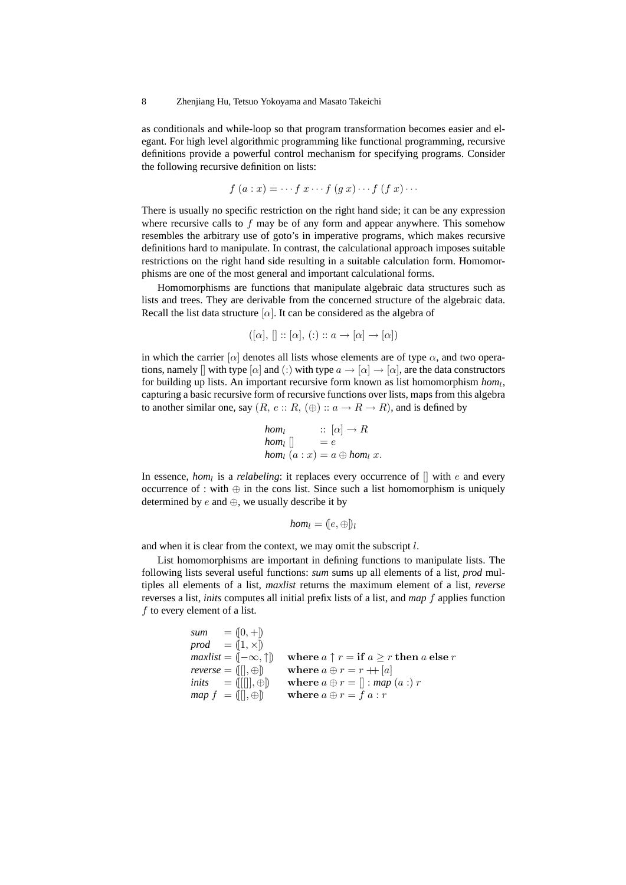as conditionals and while-loop so that program transformation becomes easier and elegant. For high level algorithmic programming like functional programming, recursive definitions provide a powerful control mechanism for specifying programs. Consider the following recursive definition on lists:

$$
f(a:x) = \cdots f x \cdots f(gx) \cdots f(fx) \cdots
$$

There is usually no specific restriction on the right hand side; it can be any expression where recursive calls to  $f$  may be of any form and appear anywhere. This somehow resembles the arbitrary use of goto's in imperative programs, which makes recursive definitions hard to manipulate. In contrast, the calculational approach imposes suitable restrictions on the right hand side resulting in a suitable calculation form. Homomorphisms are one of the most general and important calculational forms.

Homomorphisms are functions that manipulate algebraic data structures such as lists and trees. They are derivable from the concerned structure of the algebraic data. Recall the list data structure  $[\alpha]$ . It can be considered as the algebra of

$$
([\alpha], [] :: [\alpha], (:): a \rightarrow [\alpha] \rightarrow [\alpha])
$$

in which the carrier [ $\alpha$ ] denotes all lists whose elements are of type  $\alpha$ , and two operations, namely  $[$  with type  $[\alpha]$  and  $($ :  $)$  with type  $a \rightarrow [\alpha] \rightarrow [\alpha]$ , are the data constructors for building up lists. An important recursive form known as list homomorphism  $hom_l$ , capturing a basic recursive form of recursive functions over lists, maps from this algebra to another similar one, say  $(R, e: R, (\oplus): a \to R \to R)$ , and is defined by

$$
\begin{array}{ll}\nhom_l & :: [\alpha] \to R \\
hom_l \; [] & = e \\
hom_l \; (a:x) = a \oplus \hom_l x.\n\end{array}
$$

In essence, *hom*<sub>l</sub> is a *relabeling*: it replaces every occurrence of  $\parallel$  with *e* and every occurrence of : with  $\oplus$  in the cons list. Since such a list homomorphism is uniquely determined by  $e$  and  $\oplus$ , we usually describe it by

$$
hom_l = (e, \oplus)_{l}
$$

and when it is clear from the context, we may omit the subscript l.

List homomorphisms are important in defining functions to manipulate lists. The following lists several useful functions: *sum* sums up all elements of a list, *prod* multiples all elements of a list, *maxlist* returns the maximum element of a list, *reverse* reverses a list, *inits* computes all initial prefix lists of a list, and *map* f applies function f to every element of a list.

```
sum = (0, +)prod = (1, \times)maxlist = (-\infty, \uparrow) where a \uparrow r = if a \geq r then a else r
reverse = (||, \oplus) where a \oplus r = r + |a|inits = ([[\,], \oplus) where a \oplus r = [] : map (a :) rmap f = (\parallel, \oplus) where a \oplus r = f a : r
```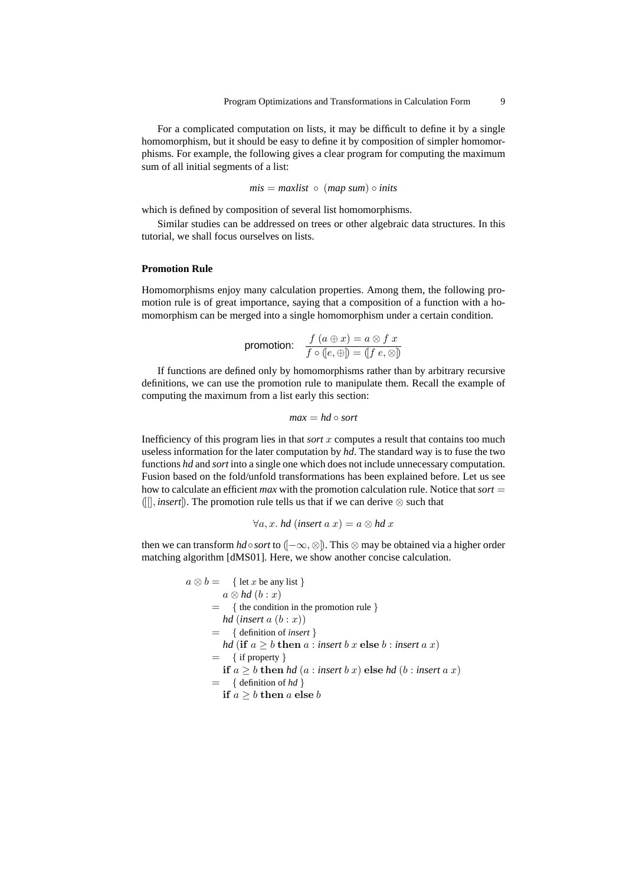For a complicated computation on lists, it may be difficult to define it by a single homomorphism, but it should be easy to define it by composition of simpler homomorphisms. For example, the following gives a clear program for computing the maximum sum of all initial segments of a list:

$$
mis = maxlist \circ (map sum) \circ inits
$$

which is defined by composition of several list homomorphisms.

Similar studies can be addressed on trees or other algebraic data structures. In this tutorial, we shall focus ourselves on lists.

#### **Promotion Rule**

Homomorphisms enjoy many calculation properties. Among them, the following promotion rule is of great importance, saying that a composition of a function with a homomorphism can be merged into a single homomorphism under a certain condition.

$$
\text{promotion:} \quad \frac{f\left(a \oplus x\right) = a \otimes f\, x}{f \circ \left[e, \oplus\right] = \left(\left[f\, e, \otimes\right]\right)}
$$

If functions are defined only by homomorphisms rather than by arbitrary recursive definitions, we can use the promotion rule to manipulate them. Recall the example of computing the maximum from a list early this section:

$$
max = hd \circ sort
$$

Inefficiency of this program lies in that *sort* x computes a result that contains too much useless information for the later computation by *hd*. The standard way is to fuse the two functions *hd* and *sort* into a single one which does not include unnecessary computation. Fusion based on the fold/unfold transformations has been explained before. Let us see how to calculate an efficient *max* with the promotion calculation rule. Notice that *sort* = ( $[$ [[], *insert*]). The promotion rule tells us that if we can derive  $\otimes$  such that

$$
\forall a, x. \text{ hd (insert a } x) = a \otimes hd x
$$

then we can transform *hd*◦*sort* to ([−∞, ⊗]). This ⊗ may be obtained via a higher order matching algorithm [dMS01]. Here, we show another concise calculation.

$$
a \otimes b = \{ \text{let } x \text{ be any list} \}
$$
  
\n
$$
a \otimes hd(b : x)
$$
  
\n
$$
= \{ \text{the condition in the promotion rule} \}
$$
  
\n
$$
hd (insert a (b : x))
$$
  
\n
$$
= \{ \text{definition of insert} \}
$$
  
\n
$$
hd (\text{if } a \geq b \text{ then } a : insert b x \text{ else } b : insert a x)
$$
  
\n
$$
= \{ \text{if property} \}
$$
  
\n
$$
\text{if } a \geq b \text{ then } hd(a : insert b x) \text{ else } hd(b : insert a x)
$$
  
\n
$$
= \{ \text{definition of } hd \}
$$
  
\n
$$
\text{if } a \geq b \text{ then } a \text{ else } b
$$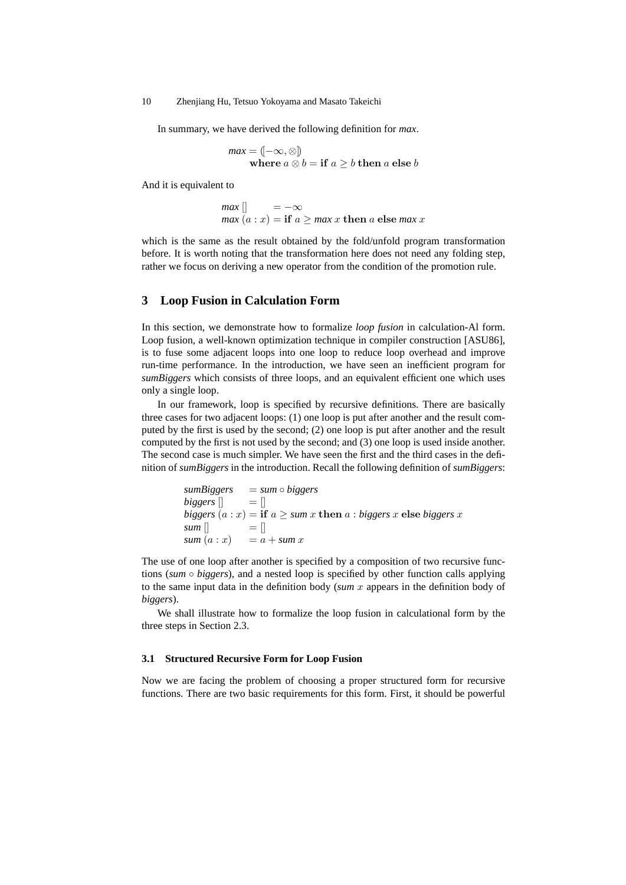In summary, we have derived the following definition for *max*.

 $max = (-\infty, \otimes)$ where  $a \otimes b = \textbf{if} \ a \geq b \ \textbf{then} \ a \ \textbf{else} \ b$ 

And it is equivalent to

$$
\max \left[ \right] = -\infty
$$
  

$$
\max (a : x) = \textbf{if } a \ge \max x \textbf{ then } a \textbf{ else } \max x
$$

which is the same as the result obtained by the fold/unfold program transformation before. It is worth noting that the transformation here does not need any folding step, rather we focus on deriving a new operator from the condition of the promotion rule.

# **3 Loop Fusion in Calculation Form**

In this section, we demonstrate how to formalize *loop fusion* in calculation-Al form. Loop fusion, a well-known optimization technique in compiler construction [ASU86], is to fuse some adjacent loops into one loop to reduce loop overhead and improve run-time performance. In the introduction, we have seen an inefficient program for *sumBiggers* which consists of three loops, and an equivalent efficient one which uses only a single loop.

In our framework, loop is specified by recursive definitions. There are basically three cases for two adjacent loops: (1) one loop is put after another and the result computed by the first is used by the second; (2) one loop is put after another and the result computed by the first is not used by the second; and (3) one loop is used inside another. The second case is much simpler. We have seen the first and the third cases in the definition of *sumBiggers* in the introduction. Recall the following definition of *sumBiggers*:

```
sumBigers = sum \circ biggersbiggers \vert = \vertbiggers \ddot{a} : x) = if a \geq sum x then a : biggers x else biggers x
sum \midsum(a : x) = a + sum x
```
The use of one loop after another is specified by a composition of two recursive functions (*sum* ◦ *biggers*), and a nested loop is specified by other function calls applying to the same input data in the definition body (*sum x* appears in the definition body of *biggers*).

We shall illustrate how to formalize the loop fusion in calculational form by the three steps in Section 2.3.

#### **3.1 Structured Recursive Form for Loop Fusion**

Now we are facing the problem of choosing a proper structured form for recursive functions. There are two basic requirements for this form. First, it should be powerful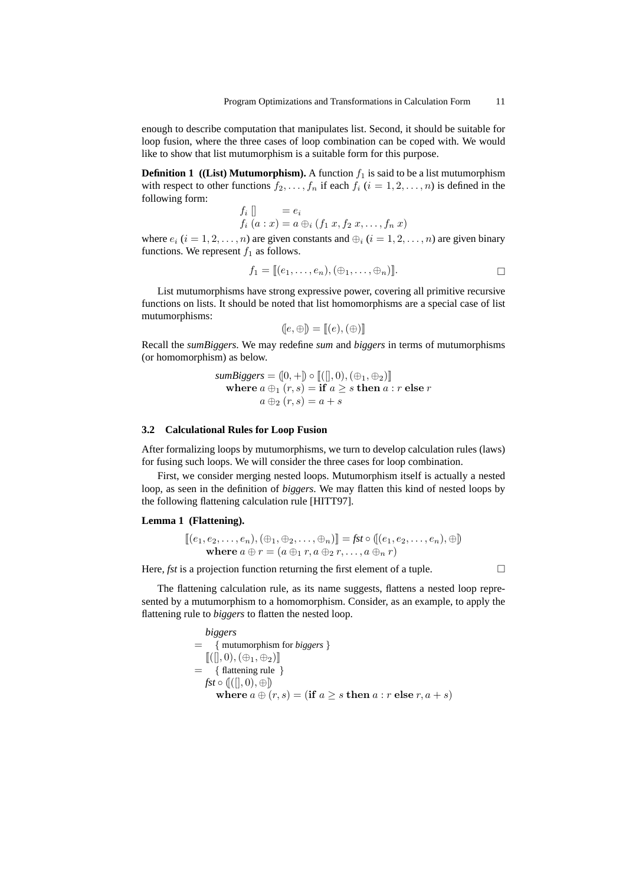enough to describe computation that manipulates list. Second, it should be suitable for loop fusion, where the three cases of loop combination can be coped with. We would like to show that list mutumorphism is a suitable form for this purpose.

**Definition 1** ((List) Mutumorphism). A function  $f_1$  is said to be a list mutumorphism with respect to other functions  $f_2, \ldots, f_n$  if each  $f_i$   $(i = 1, 2, \ldots, n)$  is defined in the following form:

$$
f_i
$$
 [] =  $e_i$   
 $f_i$  ( $a : x$ ) =  $a \bigoplus_i (f_1 x, f_2 x, ..., f_n x)$ 

where  $e_i$   $(i = 1, 2, \ldots, n)$  are given constants and  $\bigoplus_i$   $(i = 1, 2, \ldots, n)$  are given binary functions. We represent  $f_1$  as follows.

$$
f_1 = [[(e_1, \ldots, e_n), (\oplus_1, \ldots, \oplus_n)]].
$$

List mutumorphisms have strong expressive power, covering all primitive recursive functions on lists. It should be noted that list homomorphisms are a special case of list mutumorphisms:

$$
(\hspace{-1pt}[ e,\oplus \hspace{-1pt}] \hspace{-1pt}) = [\hspace{-1pt}[ (e),(\oplus \hspace{-1pt}) ]\hspace{-1pt}]
$$

Recall the *sumBiggers*. We may redefine *sum* and *biggers* in terms of mutumorphisms (or homomorphism) as below.

sumBigs = 
$$
(0, +)
$$
  $\circ$   $[(|, 0), (\oplus_1, \oplus_2)]$  where  $a \oplus_1 (r, s) =$  if  $a \geq s$  then  $a : r$  else  $r$   $a \oplus_2 (r, s) = a + s$ 

#### **3.2 Calculational Rules for Loop Fusion**

After formalizing loops by mutumorphisms, we turn to develop calculation rules (laws) for fusing such loops. We will consider the three cases for loop combination.

First, we consider merging nested loops. Mutumorphism itself is actually a nested loop, as seen in the definition of *biggers*. We may flatten this kind of nested loops by the following flattening calculation rule [HITT97].

#### **Lemma 1 (Flattening).**

$$
[(e_1, e_2, \dots, e_n), (\oplus_1, \oplus_2, \dots, \oplus_n)] = \text{fst} \circ ([e_1, e_2, \dots, e_n), \oplus])
$$
  
where  $a \oplus r = (a \oplus_1 r, a \oplus_2 r, \dots, a \oplus_n r)$ 

Here, *fst* is a projection function returning the first element of a tuple.  $\Box$ 

The flattening calculation rule, as its name suggests, flattens a nested loop represented by a mutumorphism to a homomorphism. Consider, as an example, to apply the flattening rule to *biggers* to flatten the nested loop.

> *biggers* = { mutumorphism for *biggers* }  $[[([],0),(\oplus_1,\oplus_2)]$ = { flattening rule } *fst*  $\circ$  ([([, 0),  $\oplus$ ]) where  $a \oplus (r, s) =$  (if  $a \geq s$  then  $a : r$  else  $r, a + s$ )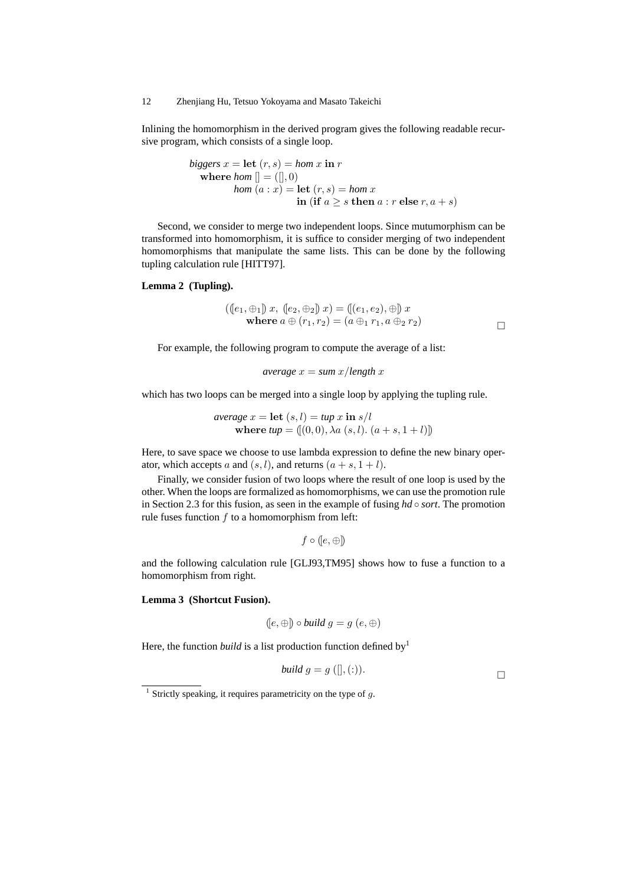Inlining the homomorphism in the derived program gives the following readable recursive program, which consists of a single loop.

biggers 
$$
x =
$$
 let  $(r, s) = hom x$  in  $r$   
where  $hom[] = ([], 0)$   
 $hom (a : x) =$  let  $(r, s) = hom x$   
in (if  $a \geq s$  then  $a : r$  else  $r, a + s$ )

Second, we consider to merge two independent loops. Since mutumorphism can be transformed into homomorphism, it is suffice to consider merging of two independent homomorphisms that manipulate the same lists. This can be done by the following tupling calculation rule [HITT97].

#### **Lemma 2 (Tupling).**

$$
((e_1, \oplus_1) x, (e_2, \oplus_2) x) = ((e_1, e_2), \oplus) x
$$
  
where  $a \oplus (r_1, r_2) = (a \oplus_1 r_1, a \oplus_2 r_2)$ 

For example, the following program to compute the average of a list:

$$
average x = sum x/length x
$$

which has two loops can be merged into a single loop by applying the tupling rule.

$$
average x = \text{let } (s, l) = \text{tup } x \text{ in } s/l
$$
  
where  $\text{tup} = ([0, 0), \lambda a (s, l). (a + s, 1 + l)])$ 

Here, to save space we choose to use lambda expression to define the new binary operator, which accepts a and  $(s, l)$ , and returns  $(a + s, 1 + l)$ .

Finally, we consider fusion of two loops where the result of one loop is used by the other. When the loops are formalized as homomorphisms, we can use the promotion rule in Section 2.3 for this fusion, as seen in the example of fusing *hd* ◦ *sort*. The promotion rule fuses function  $f$  to a homomorphism from left:

$$
f\circ ( \hspace{-1pt} [e,\oplus ] \hspace{-1pt} ]
$$

and the following calculation rule [GLJ93,TM95] shows how to fuse a function to a homomorphism from right.

#### **Lemma 3 (Shortcut Fusion).**

$$
(\![e,\oplus]\!)
$$
 *build*  $g = g$   $(e,\oplus)$ 

Here, the function *build* is a list production function defined by<sup>1</sup>

*build* 
$$
g = g([\,], (.)
$$
).

<sup>&</sup>lt;sup>1</sup> Strictly speaking, it requires parametricity on the type of  $g$ .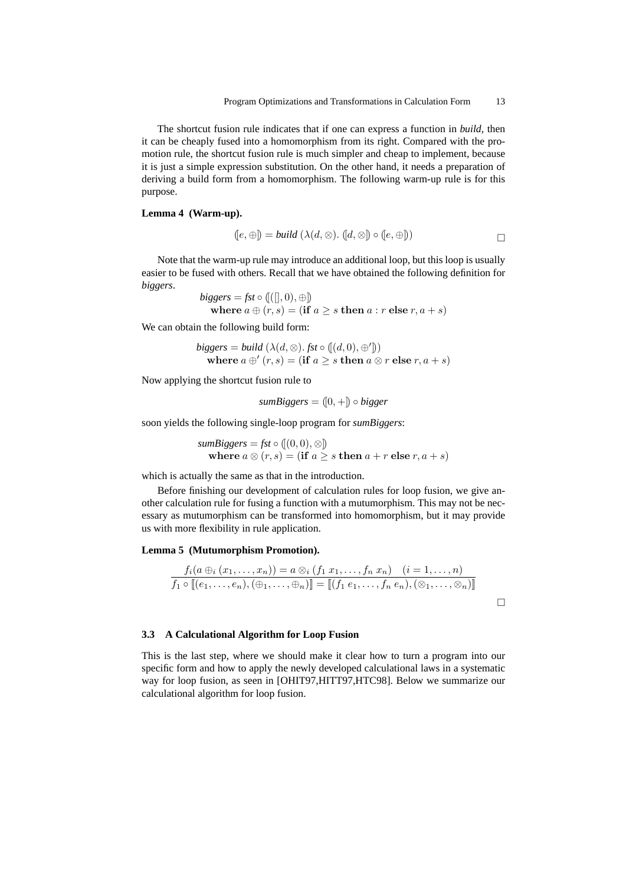The shortcut fusion rule indicates that if one can express a function in *build*, then it can be cheaply fused into a homomorphism from its right. Compared with the promotion rule, the shortcut fusion rule is much simpler and cheap to implement, because it is just a simple expression substitution. On the other hand, it needs a preparation of deriving a build form from a homomorphism. The following warm-up rule is for this purpose.

### **Lemma 4 (Warm-up).**

$$
([e, \oplus]) = build (\lambda(d, \otimes). ([d, \otimes]) \circ ([e, \oplus])) \qquad \qquad \square
$$

Note that the warm-up rule may introduce an additional loop, but this loop is usually easier to be fused with others. Recall that we have obtained the following definition for *biggers*.

*biggers* = *fst* 
$$
\circ
$$
 ([([, 0),  $\oplus$ ])  
where  $a \oplus (r, s) = (\textbf{if } a \geq s \textbf{ then } a : r \textbf{ else } r, a + s)$ 

We can obtain the following build form:

biggers = build 
$$
(\lambda(d, \otimes))
$$
. *fst*  $\circ$   $((d, 0), \oplus'))$   
where  $a \oplus' (r, s) = (\textbf{if } a \geq s \textbf{ then } a \otimes r \textbf{ else } r, a + s)$ 

Now applying the shortcut fusion rule to

$$
sumBigsers = ([0, +]) \circ bigger
$$

soon yields the following single-loop program for *sumBiggers*:

sumBiges = 
$$
fst \circ [[0,0), \otimes]
$$
  
where  $a \otimes (r, s) = (\textbf{if } a \geq s \textbf{ then } a + r \textbf{ else } r, a + s)$ 

which is actually the same as that in the introduction.

Before finishing our development of calculation rules for loop fusion, we give another calculation rule for fusing a function with a mutumorphism. This may not be necessary as mutumorphism can be transformed into homomorphism, but it may provide us with more flexibility in rule application.

#### **Lemma 5 (Mutumorphism Promotion).**

$$
f_i(a \oplus_i (x_1, \ldots, x_n)) = a \otimes_i (f_1 x_1, \ldots, f_n x_n) \quad (i = 1, \ldots, n)
$$
  

$$
f_1 \circ [[e_1, \ldots, e_n), (\oplus_1, \ldots, \oplus_n)] = [[f_1 e_1, \ldots, f_n e_n), (\otimes_1, \ldots, \otimes_n)]
$$

#### **3.3 A Calculational Algorithm for Loop Fusion**

This is the last step, where we should make it clear how to turn a program into our specific form and how to apply the newly developed calculational laws in a systematic way for loop fusion, as seen in [OHIT97,HITT97,HTC98]. Below we summarize our calculational algorithm for loop fusion.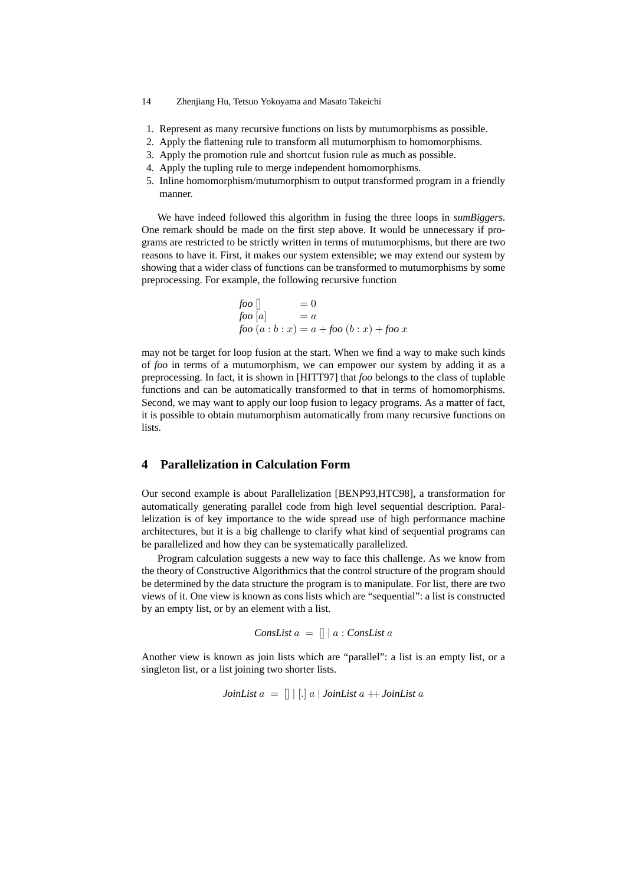- 14 Zhenjiang Hu, Tetsuo Yokoyama and Masato Takeichi
- 1. Represent as many recursive functions on lists by mutumorphisms as possible.
- 2. Apply the flattening rule to transform all mutumorphism to homomorphisms.
- 3. Apply the promotion rule and shortcut fusion rule as much as possible.
- 4. Apply the tupling rule to merge independent homomorphisms.
- 5. Inline homomorphism/mutumorphism to output transformed program in a friendly manner.

We have indeed followed this algorithm in fusing the three loops in *sumBiggers*. One remark should be made on the first step above. It would be unnecessary if programs are restricted to be strictly written in terms of mutumorphisms, but there are two reasons to have it. First, it makes our system extensible; we may extend our system by showing that a wider class of functions can be transformed to mutumorphisms by some preprocessing. For example, the following recursive function

```
foo \parallel = 0
foo[a] = a
foo (a : b : x) = a + foo (b : x) + foo x
```
may not be target for loop fusion at the start. When we find a way to make such kinds of *foo* in terms of a mutumorphism, we can empower our system by adding it as a preprocessing. In fact, it is shown in [HITT97] that *foo* belongs to the class of tuplable functions and can be automatically transformed to that in terms of homomorphisms. Second, we may want to apply our loop fusion to legacy programs. As a matter of fact, it is possible to obtain mutumorphism automatically from many recursive functions on lists.

# **4 Parallelization in Calculation Form**

Our second example is about Parallelization [BENP93,HTC98], a transformation for automatically generating parallel code from high level sequential description. Parallelization is of key importance to the wide spread use of high performance machine architectures, but it is a big challenge to clarify what kind of sequential programs can be parallelized and how they can be systematically parallelized.

Program calculation suggests a new way to face this challenge. As we know from the theory of Constructive Algorithmics that the control structure of the program should be determined by the data structure the program is to manipulate. For list, there are two views of it. One view is known as cons lists which are "sequential": a list is constructed by an empty list, or by an element with a list.

$$
ConsList a = [] | a : ConsList a
$$

Another view is known as join lists which are "parallel": a list is an empty list, or a singleton list, or a list joining two shorter lists.

JoinList 
$$
a = [] | . | a | JoinList a + JoinList a
$$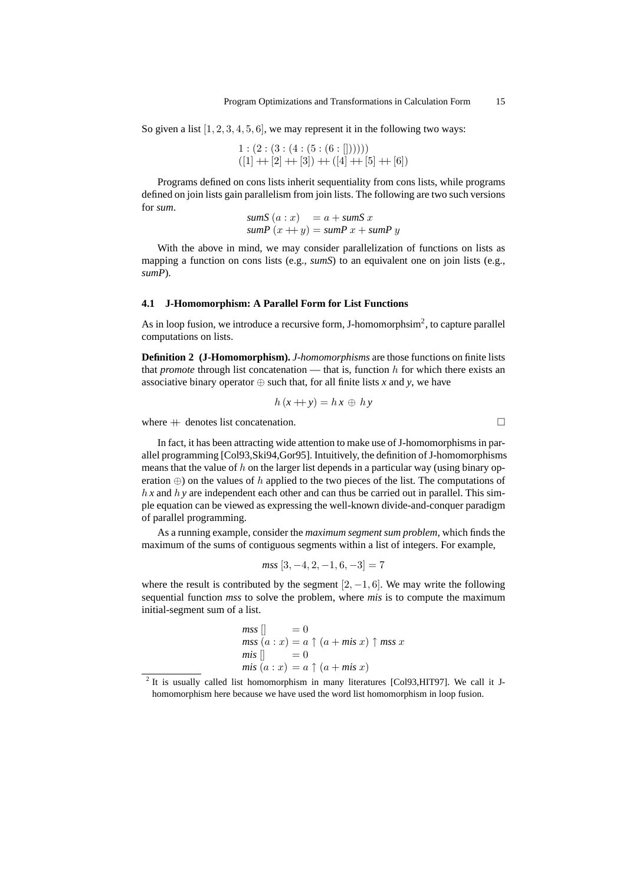So given a list  $[1, 2, 3, 4, 5, 6]$ , we may represent it in the following two ways:

$$
1: (2: (3: (4: (5: (6:[]))))([1] + [2] + [3]) + ([4] + [5] + [6])
$$

Programs defined on cons lists inherit sequentiality from cons lists, while programs defined on join lists gain parallelism from join lists. The following are two such versions for *sum*.

*sumS* (a : x) = a + *sumS* x *sumP* (x ++ y) = *sumP* x + *sumP* y

With the above in mind, we may consider parallelization of functions on lists as mapping a function on cons lists (e.g., *sumS*) to an equivalent one on join lists (e.g., *sumP*).

### **4.1 J-Homomorphism: A Parallel Form for List Functions**

As in loop fusion, we introduce a recursive form, J-homomorphsim<sup>2</sup>, to capture parallel computations on lists.

**Definition 2 (J-Homomorphism).** *J-homomorphisms* are those functions on finite lists that *promote* through list concatenation — that is, function h for which there exists an associative binary operator  $\oplus$  such that, for all finite lists *x* and *y*, we have

$$
h(x + y) = hx \oplus hy
$$

where  $+$  denotes list concatenation.  $\Box$ 

In fact, it has been attracting wide attention to make use of J-homomorphisms in parallel programming [Col93,Ski94,Gor95]. Intuitively, the definition of J-homomorphisms means that the value of  $h$  on the larger list depends in a particular way (using binary operation  $\oplus$ ) on the values of h applied to the two pieces of the list. The computations of h *x* and h *y* are independent each other and can thus be carried out in parallel. This simple equation can be viewed as expressing the well-known divide-and-conquer paradigm of parallel programming.

As a running example, consider the *maximum segment sum problem*, which finds the maximum of the sums of contiguous segments within a list of integers. For example,

$$
mss [3, -4, 2, -1, 6, -3] = 7
$$

where the result is contributed by the segment  $[2, -1, 6]$ . We may write the following sequential function *mss* to solve the problem, where *mis* is to compute the maximum initial-segment sum of a list.

$$
mss [] = 0
$$
  
\n
$$
mss (a : x) = a \uparrow (a + mis x) \uparrow mss x
$$
  
\n
$$
mis [] = 0
$$
  
\n
$$
mis (a : x) = a \uparrow (a + mis x)
$$

 $2$  It is usually called list homomorphism in many literatures [Col93,HIT97]. We call it Jhomomorphism here because we have used the word list homomorphism in loop fusion.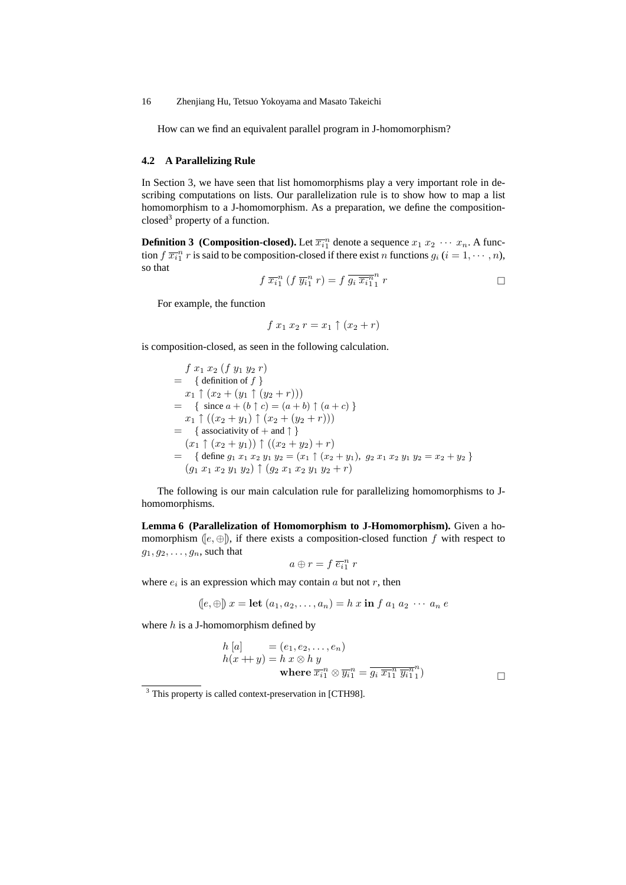How can we find an equivalent parallel program in J-homomorphism?

### **4.2 A Parallelizing Rule**

In Section 3, we have seen that list homomorphisms play a very important role in describing computations on lists. Our parallelization rule is to show how to map a list homomorphism to a J-homomorphism. As a preparation, we define the compositionclosed<sup>3</sup> property of a function.

**Definition 3** (**Composition-closed**). Let  $\overline{x_i^n}$  denote a sequence  $x_1 x_2 \cdots x_n$ . A function  $f\overline{x_i}^n$  r is said to be composition-closed if there exist n functions  $g_i$   $(i = 1, \dots, n)$ , so that

$$
f\ \overline{x_i}^n\ (f\ \overline{y_i}^n\ r) = f\ \overline{g_i}\ \overline{x_i}^{n}^n\ r
$$

For example, the function

$$
f x_1 x_2 r = x_1 \uparrow (x_2 + r)
$$

is composition-closed, as seen in the following calculation.

$$
f x_1 x_2 (f y_1 y_2 r)
$$
  
= { definition of f }  

$$
x_1 \uparrow (x_2 + (y_1 \uparrow (y_2 + r)))
$$
  
= { since  $a + (b \uparrow c) = (a + b) \uparrow (a + c)$  }  

$$
x_1 \uparrow ((x_2 + y_1) \uparrow (x_2 + (y_2 + r)))
$$
  
= { associativity of + and  $\uparrow$  }  

$$
(x_1 \uparrow (x_2 + y_1)) \uparrow ((x_2 + y_2) + r)
$$
  
= { define  $g_1 x_1 x_2 y_1 y_2 = (x_1 \uparrow (x_2 + y_1), g_2 x_1 x_2 y_1 y_2 = x_2 + y_2 )$   

$$
(g_1 x_1 x_2 y_1 y_2) \uparrow (g_2 x_1 x_2 y_1 y_2 + r)
$$

The following is our main calculation rule for parallelizing homomorphisms to Jhomomorphisms.

**Lemma 6 (Parallelization of Homomorphism to J-Homomorphism).** Given a homomorphism  $([e, \oplus])$ , if there exists a composition-closed function f with respect to  $g_1, g_2, \ldots, g_n$ , such that

$$
a \oplus r = f \; \overline{e}_{i1}^n \; r
$$

where  $e_i$  is an expression which may contain  $a$  but not  $r$ , then

$$
([e, \oplus]) x = \text{let } (a_1, a_2, \dots, a_n) = h \, x \, \text{in } f \, a_1 \, a_2 \, \cdots \, a_n \, e
$$

where  $h$  is a J-homomorphism defined by

$$
h [a] = (e_1, e_2, \dots, e_n)
$$
  
\n
$$
h(x + y) = h x \otimes h y
$$
  
\nwhere  $\overline{x_i}^n \otimes \overline{y_i}^n = \overline{g_i} \overline{x_1}^n \overline{y_i}^n$ 

<sup>&</sup>lt;sup>3</sup> This property is called context-preservation in [CTH98].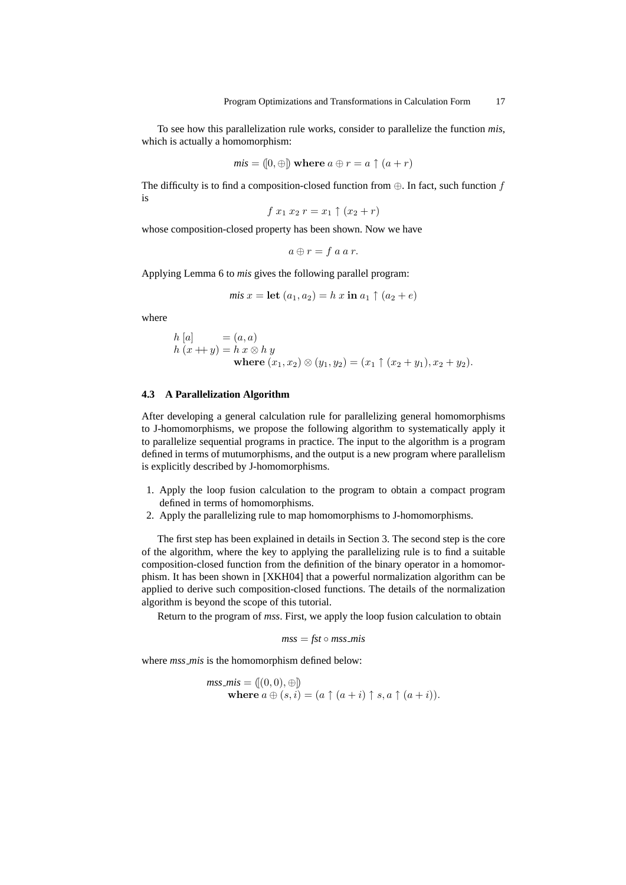To see how this parallelization rule works, consider to parallelize the function *mis*, which is actually a homomorphism:

$$
mis = (0, \oplus)
$$
 where  $a \oplus r = a \uparrow (a+r)$ 

The difficulty is to find a composition-closed function from  $\oplus$ . In fact, such function f is

$$
f x_1 x_2 r = x_1 \uparrow (x_2 + r)
$$

whose composition-closed property has been shown. Now we have

$$
a \oplus r = f a a r.
$$

Applying Lemma 6 to *mis* gives the following parallel program:

$$
mis x = \mathbf{let}(a_1, a_2) = h x \mathbf{in} \ a_1 \uparrow (a_2 + e)
$$

where

$$
h [a] = (a, a)
$$
  
\n
$$
h (x + y) = h x \otimes h y
$$
  
\nwhere  $(x_1, x_2) \otimes (y_1, y_2) = (x_1 \uparrow (x_2 + y_1), x_2 + y_2).$ 

#### **4.3 A Parallelization Algorithm**

After developing a general calculation rule for parallelizing general homomorphisms to J-homomorphisms, we propose the following algorithm to systematically apply it to parallelize sequential programs in practice. The input to the algorithm is a program defined in terms of mutumorphisms, and the output is a new program where parallelism is explicitly described by J-homomorphisms.

- 1. Apply the loop fusion calculation to the program to obtain a compact program defined in terms of homomorphisms.
- 2. Apply the parallelizing rule to map homomorphisms to J-homomorphisms.

The first step has been explained in details in Section 3. The second step is the core of the algorithm, where the key to applying the parallelizing rule is to find a suitable composition-closed function from the definition of the binary operator in a homomorphism. It has been shown in [XKH04] that a powerful normalization algorithm can be applied to derive such composition-closed functions. The details of the normalization algorithm is beyond the scope of this tutorial.

Return to the program of *mss*. First, we apply the loop fusion calculation to obtain

$$
mss = fst \circ mss\_mis
$$

where *mss mis* is the homomorphism defined below:

$$
mss\_mis = ([0, 0), \oplus])
$$
  
where  $a \oplus (s, i) = (a \uparrow (a + i) \uparrow s, a \uparrow (a + i)).$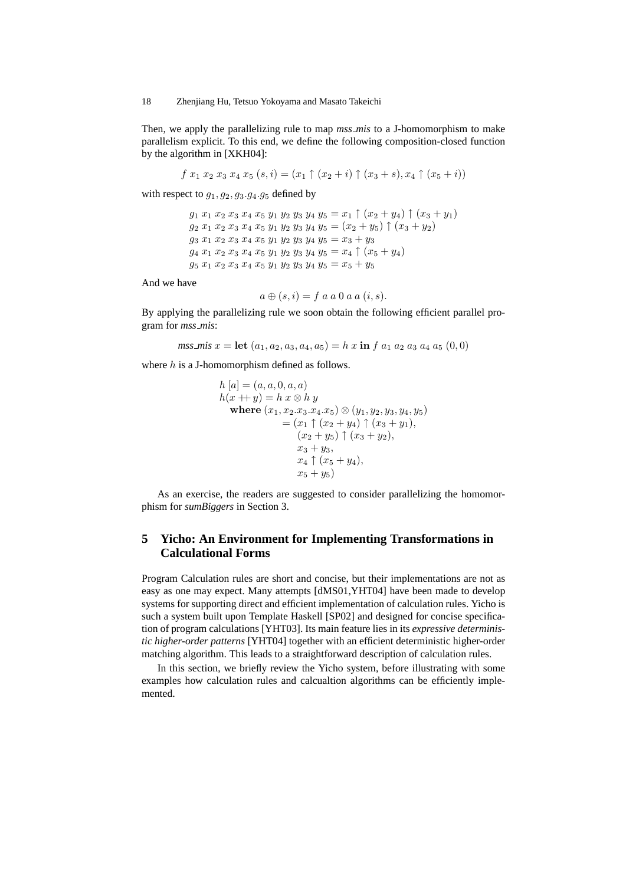Then, we apply the parallelizing rule to map *mss mis* to a J-homomorphism to make parallelism explicit. To this end, we define the following composition-closed function by the algorithm in [XKH04]:

$$
f x_1 x_2 x_3 x_4 x_5 (s, i) = (x_1 \uparrow (x_2 + i) \uparrow (x_3 + s), x_4 \uparrow (x_5 + i))
$$

with respect to  $q_1$ ,  $q_2$ ,  $q_3$ ,  $q_4$ ,  $q_5$  defined by

 $g_1 x_1 x_2 x_3 x_4 x_5 y_1 y_2 y_3 y_4 y_5 = x_1 \uparrow (x_2 + y_4) \uparrow (x_3 + y_1)$  $g_2$   $x_1$   $x_2$   $x_3$   $x_4$   $x_5$   $y_1$   $y_2$   $y_3$   $y_4$   $y_5 = (x_2 + y_5) \uparrow (x_3 + y_2)$  $g_3 x_1 x_2 x_3 x_4 x_5 y_1 y_2 y_3 y_4 y_5 = x_3 + y_3$  $g_4 x_1 x_2 x_3 x_4 x_5 y_1 y_2 y_3 y_4 y_5 = x_4 \uparrow (x_5 + y_4)$  $g_5 x_1 x_2 x_3 x_4 x_5 y_1 y_2 y_3 y_4 y_5 = x_5 + y_5$ 

And we have

$$
a \oplus (s, i) = f a a 0 a a (i, s).
$$

By applying the parallelizing rule we soon obtain the following efficient parallel program for *mss mis*:

*mss\_mis*  $x = \text{let}(a_1, a_2, a_3, a_4, a_5) = h \ x \text{ in } f \ a_1 \ a_2 \ a_3 \ a_4 \ a_5 \ (0, 0)$ 

where  $h$  is a J-homomorphism defined as follows.

$$
h [a] = (a, a, 0, a, a)
$$
  
\n
$$
h(x + y) = h x \otimes h y
$$
  
\nwhere  $(x_1, x_2.x_3.x_4.x_5) \otimes (y_1, y_2, y_3, y_4, y_5)$   
\n
$$
= (x_1 \uparrow (x_2 + y_4) \uparrow (x_3 + y_1),
$$
  
\n $(x_2 + y_5) \uparrow (x_3 + y_2),$   
\n $x_3 + y_3,$   
\n $x_4 \uparrow (x_5 + y_4),$   
\n $x_5 + y_5)$ 

As an exercise, the readers are suggested to consider parallelizing the homomorphism for *sumBiggers* in Section 3.

# **5 Yicho: An Environment for Implementing Transformations in Calculational Forms**

Program Calculation rules are short and concise, but their implementations are not as easy as one may expect. Many attempts [dMS01,YHT04] have been made to develop systems for supporting direct and efficient implementation of calculation rules. Yicho is such a system built upon Template Haskell [SP02] and designed for concise specification of program calculations [YHT03]. Its main feature lies in its *expressive deterministic higher-order patterns* [YHT04] together with an efficient deterministic higher-order matching algorithm. This leads to a straightforward description of calculation rules.

In this section, we briefly review the Yicho system, before illustrating with some examples how calculation rules and calcualtion algorithms can be efficiently implemented.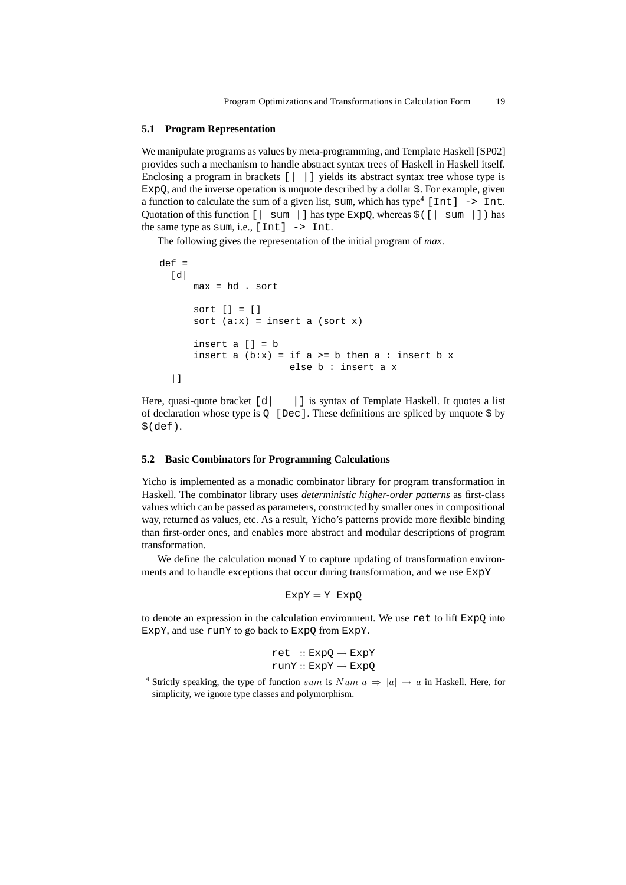#### **5.1 Program Representation**

We manipulate programs as values by meta-programming, and Template Haskell [SP02] provides such a mechanism to handle abstract syntax trees of Haskell in Haskell itself. Enclosing a program in brackets  $[ \ | \ ]$  yields its abstract syntax tree whose type is ExpQ, and the inverse operation is unquote described by a dollar \$. For example, given a function to calculate the sum of a given list, sum, which has type<sup>4</sup> [Int ]  $\rightarrow$  Int. Quotation of this function  $\begin{bmatrix} \end{bmatrix}$  sum | ] has type ExpQ, whereas  $\zeta(\begin{bmatrix} \end{bmatrix}$  sum | ] has the same type as sum, i.e.,  $[Int] \rightarrow Int$ .

The following gives the representation of the initial program of *max*.

```
def =[d|
      max = hd . sort
      sort [] = []sort (a:x) = insert a (sort x)
      insert a [] = b
      insert a (b:x) = if a >= b then a : insert b x
                       else b : insert a x
  |]
```
Here, quasi-quote bracket  $\lceil d \rceil$   $\lceil d \rceil$  is syntax of Template Haskell. It quotes a list of declaration whose type is  $Q$  [Dec]. These definitions are spliced by unquote  $\frac{1}{2}$  by  $$$  $(def)$ .

#### **5.2 Basic Combinators for Programming Calculations**

Yicho is implemented as a monadic combinator library for program transformation in Haskell. The combinator library uses *deterministic higher-order patterns* as first-class values which can be passed as parameters, constructed by smaller ones in compositional way, returned as values, etc. As a result, Yicho's patterns provide more flexible binding than first-order ones, and enables more abstract and modular descriptions of program transformation.

We define the calculation monad Y to capture updating of transformation environments and to handle exceptions that occur during transformation, and we use ExpY

 $ExpY = Y$  ExpO

to denote an expression in the calculation environment. We use ret to lift ExpQ into ExpY, and use runY to go back to ExpQ from ExpY.

> $ret$  :: ExpQ  $\rightarrow$  ExpY  $runY :: ExpY \rightarrow ExpQ$

<sup>&</sup>lt;sup>4</sup> Strictly speaking, the type of function sum is  $Num\ a \Rightarrow [a] \rightarrow a$  in Haskell. Here, for simplicity, we ignore type classes and polymorphism.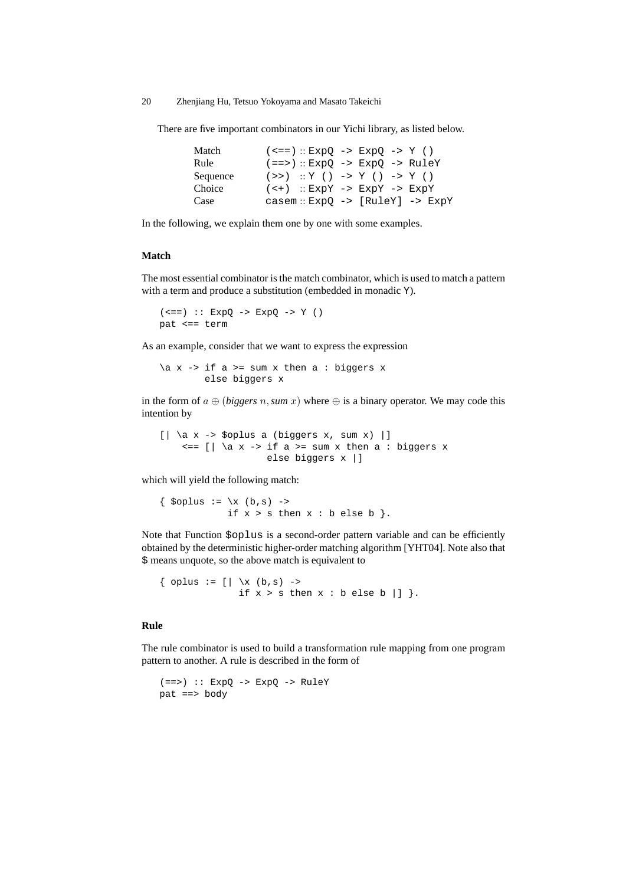There are five important combinators in our Yichi library, as listed below.

```
Match (<=-) :: ExpQ \rightarrow ExpQ \rightarrow Y ()
Rule (==) :: ExpQ \rightarrow ExpQ \rightarrow RuleYSequence (\Rightarrow) :: Y () -> Y () -> Y ()
Choice (<+) :: ExpY -> ExpY -> ExpY
Case casem :: ExpQ -> [RuleY] -> ExpY
```
In the following, we explain them one by one with some examples.

#### **Match**

The most essential combinator is the match combinator, which is used to match a pattern with a term and produce a substitution (embedded in monadic Y).

 $(\leq)=)$  :: ExpQ -> ExpQ -> Y () pat <== term

As an example, consider that we want to express the expression

 $\a x \rightarrow if a \ge sum x then a : biggers x$ else biggers x

in the form of  $a \oplus (biggers n, sum x)$  where  $\oplus$  is a binary operator. We may code this intention by

 $[ \ | \ a x \rightarrow \text{5}$  $\leq$  ==  $[ \ \vert \$  \a x -> if a >= sum x then a : biggers x else biggers x |]

which will yield the following match:

 $\{$  \$oplus := \x (b,s) -> if  $x > s$  then  $x : b$  else  $b$  }.

Note that Function \$oplus is a second-order pattern variable and can be efficiently obtained by the deterministic higher-order matching algorithm [YHT04]. Note also that \$ means unquote, so the above match is equivalent to

 $\{$  oplus :=  $[ \ \ x (b,s) \ \rightarrow$ if  $x > s$  then  $x : b$  else  $b \mid c$ .

# **Rule**

The rule combinator is used to build a transformation rule mapping from one program pattern to another. A rule is described in the form of

 $(==)$  ::  $ExpQ \rightarrow ExpQ \rightarrow RuleY$ pat ==> body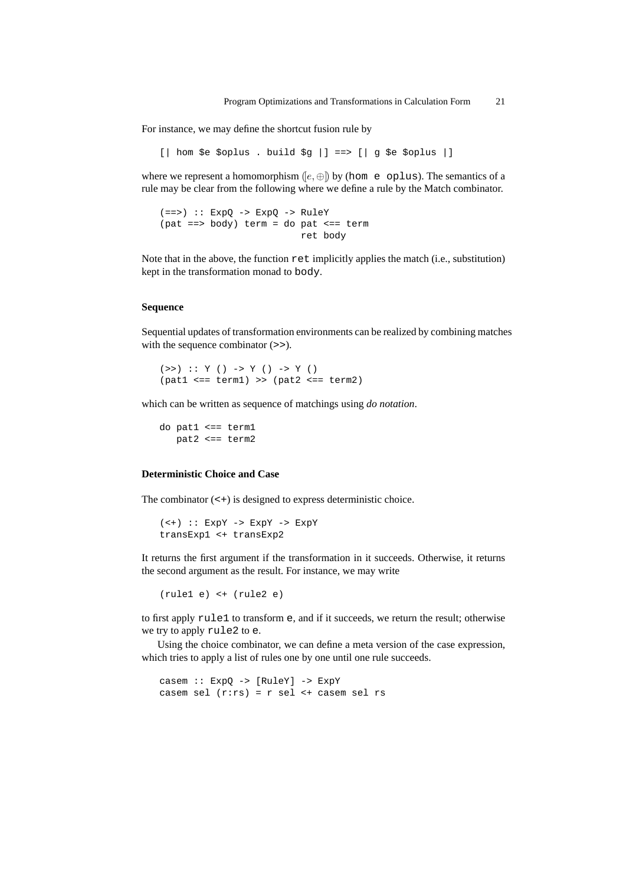For instance, we may define the shortcut fusion rule by

 $[ \ ]$  hom \$e \$oplus . build \$g  $]$  ==>  $[ \ ]$  g \$e \$oplus  $]$ 

where we represent a homomorphism  $(e, \oplus)$  by (hom e oplus). The semantics of a rule may be clear from the following where we define a rule by the Match combinator.

 $(==)$  ::  $ExpQ \rightarrow ExpQ \rightarrow RuleY$  $(\text{pat} == > \text{body})$  term = do pat <== term ret body

Note that in the above, the function ret implicitly applies the match (i.e., substitution) kept in the transformation monad to body.

#### **Sequence**

Sequential updates of transformation environments can be realized by combining matches with the sequence combinator  $(\gg)$ .

 $(>>)$  :: Y () -> Y () -> Y ()  $(path == term1) >> (pat2 == term2)$ 

which can be written as sequence of matchings using *do notation*.

do pat1 <== term1 pat2 <== term2

#### **Deterministic Choice and Case**

The combinator  $(\leq+)$  is designed to express deterministic choice.

 $(<+)$  :: ExpY -> ExpY -> ExpY transExp1 <+ transExp2

It returns the first argument if the transformation in it succeeds. Otherwise, it returns the second argument as the result. For instance, we may write

(rule1 e) <+ (rule2 e)

to first apply rule1 to transform e, and if it succeeds, we return the result; otherwise we try to apply rule2 to e.

Using the choice combinator, we can define a meta version of the case expression, which tries to apply a list of rules one by one until one rule succeeds.

casem :: ExpQ -> [RuleY] -> ExpY casem sel (r:rs) = r sel <+ casem sel rs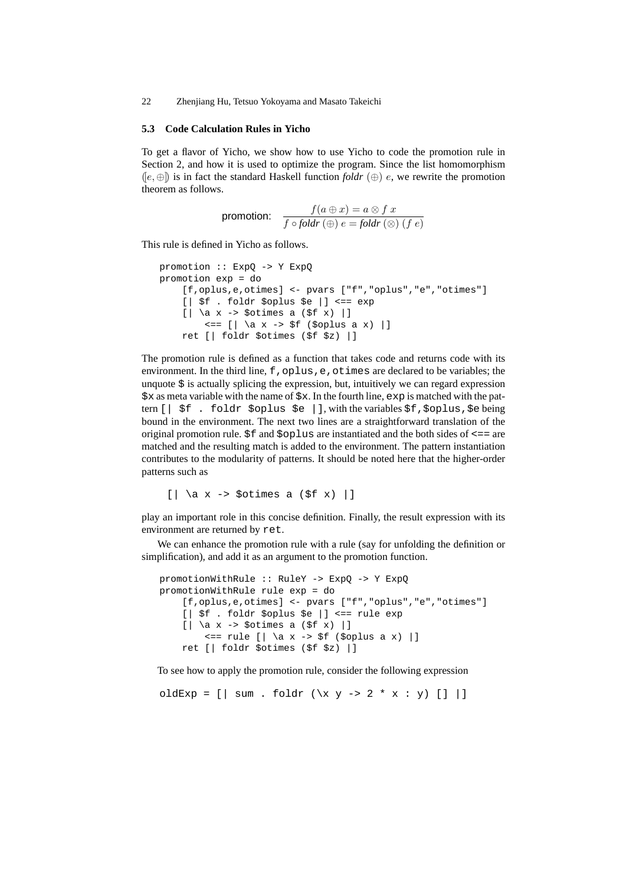#### **5.3 Code Calculation Rules in Yicho**

To get a flavor of Yicho, we show how to use Yicho to code the promotion rule in Section 2, and how it is used to optimize the program. Since the list homomorphism  $([e, ⊕)]$  is in fact the standard Haskell function *foldr*  $(⊕)$  *e*, we rewrite the promotion theorem as follows.

$$
\text{promotion:} \quad \frac{f(a \oplus x) = a \otimes f \, x}{f \circ foldr \, (\oplus) \, e = foldr \, (\otimes) \, (f \, e)}
$$

This rule is defined in Yicho as follows.

```
promotion :: ExpQ -> Y ExpQ
promotion exp = do
    [f,oplus,e,otimes] <- pvars ["f","oplus","e","otimes"]
    [| $f . foldr $oplus $e |] <== exp
    [ | \a x \rightarrow $otimes a ( $f x) ]\leq = [| \a x -> $f ($oplus a x) |]
    ret [| foldr $otimes ($f $z) |]
```
The promotion rule is defined as a function that takes code and returns code with its environment. In the third line,  $f$ ,  $oplus$ ,  $e$ ,  $otimes$  are declared to be variables; the unquote  $\hat{S}$  is actually splicing the expression, but, intuitively we can regard expression  $\frac{1}{2}x$  as meta variable with the name of  $\frac{1}{2}x$ . In the fourth line, exp is matched with the pattern  $[ \ \xi f \ . \ \text{foldr} \ \xi$  oplus  $\xi e \ | \ ]$ , with the variables  $\xi f$ ,  $\xi$  oplus,  $\xi e$  being bound in the environment. The next two lines are a straightforward translation of the original promotion rule.  $\frac{1}{5}$  f and  $\frac{1}{5}$  coplus are instantiated and the both sides of  $\leq$  = are matched and the resulting match is added to the environment. The pattern instantiation contributes to the modularity of patterns. It should be noted here that the higher-order patterns such as

 $[ \ | \ \{a \ x \rightarrow $6 \text{times a ($f x) $ } ] \]$ 

play an important role in this concise definition. Finally, the result expression with its environment are returned by ret.

We can enhance the promotion rule with a rule (say for unfolding the definition or simplification), and add it as an argument to the promotion function.

```
promotionWithRule :: RuleY -> ExpQ -> Y ExpQ
promotionWithRule rule exp = do
    [f,oplus,e,otimes] <- pvars ["f","oplus","e","otimes"]
    [| $f . foldr $oplus $e |] <== rule exp
    [ \ \vert \a x -> $otimes a ($f x) |]
         \leq = rule [ \ \{ x \rightarrow \$f \ (5oplus a x) \ ] \}ret [| foldr $otimes ($f $z) |]
```
To see how to apply the promotion rule, consider the following expression

oldExp =  $[$  sum . foldr  $(\x y \rightarrow 2 * x : y) [ ]$  |]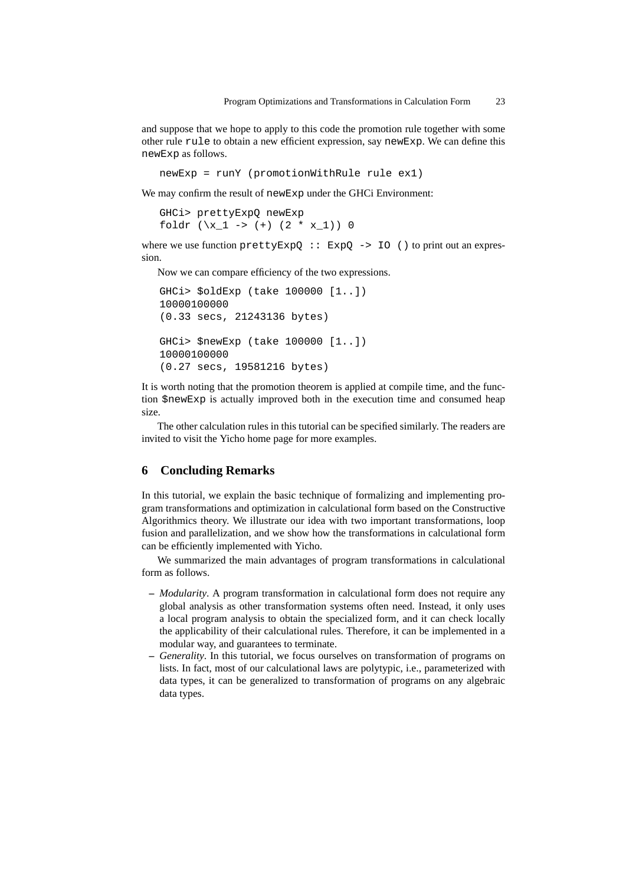and suppose that we hope to apply to this code the promotion rule together with some other rule rule to obtain a new efficient expression, say newExp. We can define this newExp as follows.

```
newExp = runY (promotionWithRule rule ex1)
```
We may confirm the result of newExp under the GHCi Environment:

```
GHCi> prettyExpQ newExp
foldr (\x1 - > (+) (2 * x_1)) 0
```
where we use function pretty ExpQ :: ExpQ -> IO () to print out an expression.

Now we can compare efficiency of the two expressions.

```
GHCi> $oldExp (take 100000 [1..])
10000100000
(0.33 secs, 21243136 bytes)
GHCi> $newExp (take 100000 [1..])
10000100000
(0.27 secs, 19581216 bytes)
```
It is worth noting that the promotion theorem is applied at compile time, and the function \$newExp is actually improved both in the execution time and consumed heap size.

The other calculation rules in this tutorial can be specified similarly. The readers are invited to visit the Yicho home page for more examples.

# **6 Concluding Remarks**

In this tutorial, we explain the basic technique of formalizing and implementing program transformations and optimization in calculational form based on the Constructive Algorithmics theory. We illustrate our idea with two important transformations, loop fusion and parallelization, and we show how the transformations in calculational form can be efficiently implemented with Yicho.

We summarized the main advantages of program transformations in calculational form as follows.

- **–** *Modularity*. A program transformation in calculational form does not require any global analysis as other transformation systems often need. Instead, it only uses a local program analysis to obtain the specialized form, and it can check locally the applicability of their calculational rules. Therefore, it can be implemented in a modular way, and guarantees to terminate.
- **–** *Generality*. In this tutorial, we focus ourselves on transformation of programs on lists. In fact, most of our calculational laws are polytypic, i.e., parameterized with data types, it can be generalized to transformation of programs on any algebraic data types.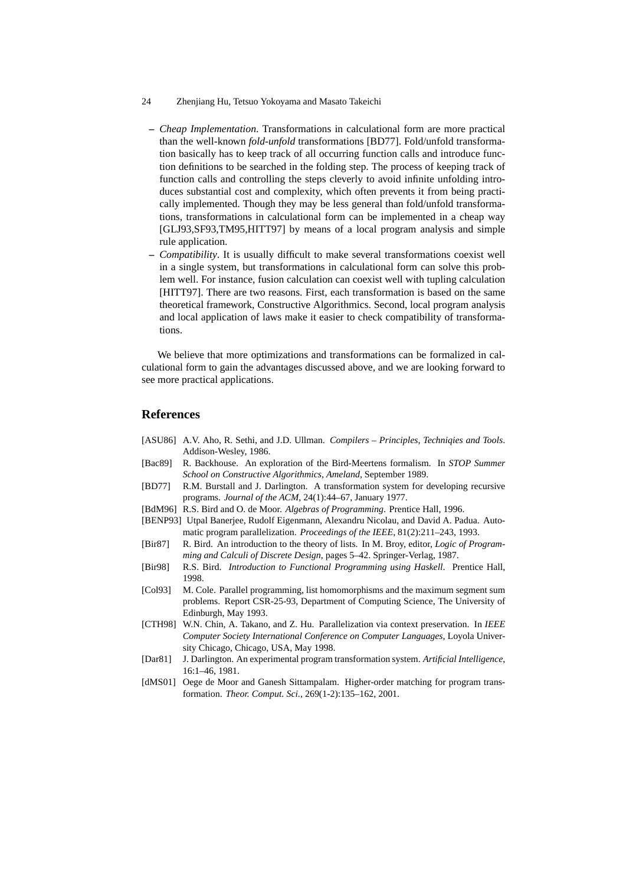- 24 Zhenjiang Hu, Tetsuo Yokoyama and Masato Takeichi
	- **–** *Cheap Implementation*. Transformations in calculational form are more practical than the well-known *fold-unfold* transformations [BD77]. Fold/unfold transformation basically has to keep track of all occurring function calls and introduce function definitions to be searched in the folding step. The process of keeping track of function calls and controlling the steps cleverly to avoid infinite unfolding introduces substantial cost and complexity, which often prevents it from being practically implemented. Though they may be less general than fold/unfold transformations, transformations in calculational form can be implemented in a cheap way [GLJ93,SF93,TM95,HITT97] by means of a local program analysis and simple rule application.
	- **–** *Compatibility*. It is usually difficult to make several transformations coexist well in a single system, but transformations in calculational form can solve this problem well. For instance, fusion calculation can coexist well with tupling calculation [HITT97]. There are two reasons. First, each transformation is based on the same theoretical framework, Constructive Algorithmics. Second, local program analysis and local application of laws make it easier to check compatibility of transformations.

We believe that more optimizations and transformations can be formalized in calculational form to gain the advantages discussed above, and we are looking forward to see more practical applications.

# **References**

- [ASU86] A.V. Aho, R. Sethi, and J.D. Ullman. *Compilers Principles, Techniqies and Tools*. Addison-Wesley, 1986.
- [Bac89] R. Backhouse. An exploration of the Bird-Meertens formalism. In *STOP Summer School on Constructive Algorithmics, Ameland*, September 1989.
- [BD77] R.M. Burstall and J. Darlington. A transformation system for developing recursive programs. *Journal of the ACM*, 24(1):44–67, January 1977.
- [BdM96] R.S. Bird and O. de Moor. *Algebras of Programming*. Prentice Hall, 1996.
- [BENP93] Utpal Banerjee, Rudolf Eigenmann, Alexandru Nicolau, and David A. Padua. Automatic program parallelization. *Proceedings of the IEEE*, 81(2):211–243, 1993.
- [Bir87] R. Bird. An introduction to the theory of lists. In M. Broy, editor, *Logic of Programming and Calculi of Discrete Design*, pages 5–42. Springer-Verlag, 1987.
- [Bir98] R.S. Bird. *Introduction to Functional Programming using Haskell*. Prentice Hall, 1998.
- [Col93] M. Cole. Parallel programming, list homomorphisms and the maximum segment sum problems. Report CSR-25-93, Department of Computing Science, The University of Edinburgh, May 1993.
- [CTH98] W.N. Chin, A. Takano, and Z. Hu. Parallelization via context preservation. In *IEEE Computer Society International Conference on Computer Languages*, Loyola University Chicago, Chicago, USA, May 1998.
- [Dar81] J. Darlington. An experimental program transformation system. *Artificial Intelligence*, 16:1–46, 1981.
- [dMS01] Oege de Moor and Ganesh Sittampalam. Higher-order matching for program transformation. *Theor. Comput. Sci.*, 269(1-2):135–162, 2001.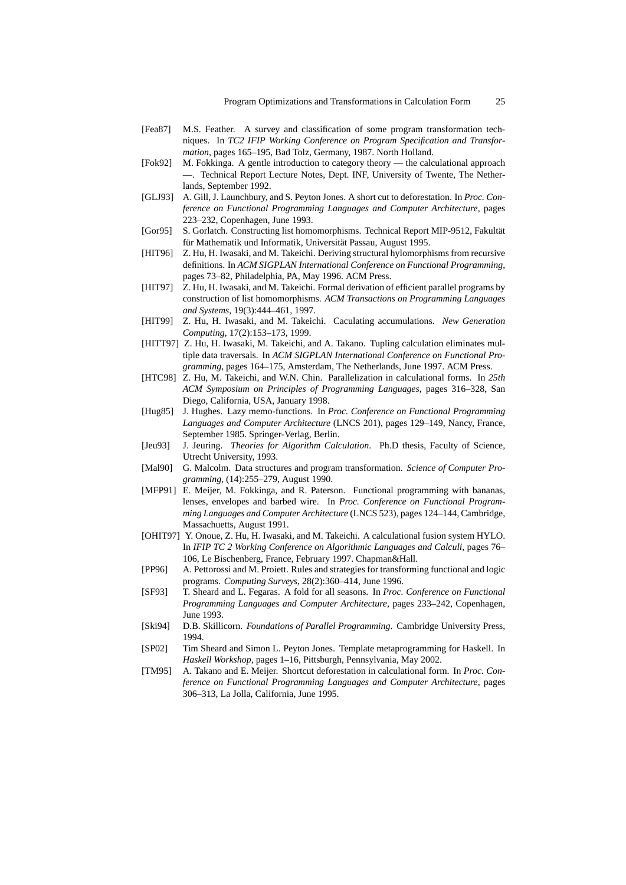- [Fea87] M.S. Feather. A survey and classification of some program transformation techniques. In *TC2 IFIP Working Conference on Program Specification and Transformation*, pages 165–195, Bad Tolz, Germany, 1987. North Holland.
- [Fok92] M. Fokkinga. A gentle introduction to category theory the calculational approach —. Technical Report Lecture Notes, Dept. INF, University of Twente, The Netherlands, September 1992.
- [GLJ93] A. Gill, J. Launchbury, and S. Peyton Jones. A short cut to deforestation. In *Proc. Conference on Functional Programming Languages and Computer Architecture*, pages 223–232, Copenhagen, June 1993.
- [Gor95] S. Gorlatch. Constructing list homomorphisms. Technical Report MIP-9512, Fakultät für Mathematik und Informatik, Universität Passau, August 1995.
- [HIT96] Z. Hu, H. Iwasaki, and M. Takeichi. Deriving structural hylomorphisms from recursive definitions. In *ACM SIGPLAN International Conference on Functional Programming*, pages 73–82, Philadelphia, PA, May 1996. ACM Press.
- [HIT97] Z. Hu, H. Iwasaki, and M. Takeichi. Formal derivation of efficient parallel programs by construction of list homomorphisms. *ACM Transactions on Programming Languages and Systems*, 19(3):444–461, 1997.
- [HIT99] Z. Hu, H. Iwasaki, and M. Takeichi. Caculating accumulations. *New Generation Computing*, 17(2):153–173, 1999.
- [HITT97] Z. Hu, H. Iwasaki, M. Takeichi, and A. Takano. Tupling calculation eliminates multiple data traversals. In *ACM SIGPLAN International Conference on Functional Programming*, pages 164–175, Amsterdam, The Netherlands, June 1997. ACM Press.
- [HTC98] Z. Hu, M. Takeichi, and W.N. Chin. Parallelization in calculational forms. In *25th ACM Symposium on Principles of Programming Languages*, pages 316–328, San Diego, California, USA, January 1998.
- [Hug85] J. Hughes. Lazy memo-functions. In *Proc. Conference on Functional Programming Languages and Computer Architecture* (LNCS 201), pages 129–149, Nancy, France, September 1985. Springer-Verlag, Berlin.
- [Jeu93] J. Jeuring. *Theories for Algorithm Calculation*. Ph.D thesis, Faculty of Science, Utrecht University, 1993.
- [Mal90] G. Malcolm. Data structures and program transformation. *Science of Computer Programming*, (14):255–279, August 1990.
- [MFP91] E. Meijer, M. Fokkinga, and R. Paterson. Functional programming with bananas, lenses, envelopes and barbed wire. In *Proc. Conference on Functional Programming Languages and Computer Architecture* (LNCS 523), pages 124–144, Cambridge, Massachuetts, August 1991.
- [OHIT97] Y. Onoue, Z. Hu, H. Iwasaki, and M. Takeichi. A calculational fusion system HYLO. In *IFIP TC 2 Working Conference on Algorithmic Languages and Calculi*, pages 76– 106, Le Bischenberg, France, February 1997. Chapman&Hall.
- [PP96] A. Pettorossi and M. Proiett. Rules and strategies for transforming functional and logic programs. *Computing Surveys*, 28(2):360–414, June 1996.
- [SF93] T. Sheard and L. Fegaras. A fold for all seasons. In *Proc. Conference on Functional Programming Languages and Computer Architecture*, pages 233–242, Copenhagen, June 1993.
- [Ski94] D.B. Skillicorn. *Foundations of Parallel Programming*. Cambridge University Press, 1994.
- [SP02] Tim Sheard and Simon L. Peyton Jones. Template metaprogramming for Haskell. In *Haskell Workshop*, pages 1–16, Pittsburgh, Pennsylvania, May 2002.
- [TM95] A. Takano and E. Meijer. Shortcut deforestation in calculational form. In *Proc. Conference on Functional Programming Languages and Computer Architecture*, pages 306–313, La Jolla, California, June 1995.